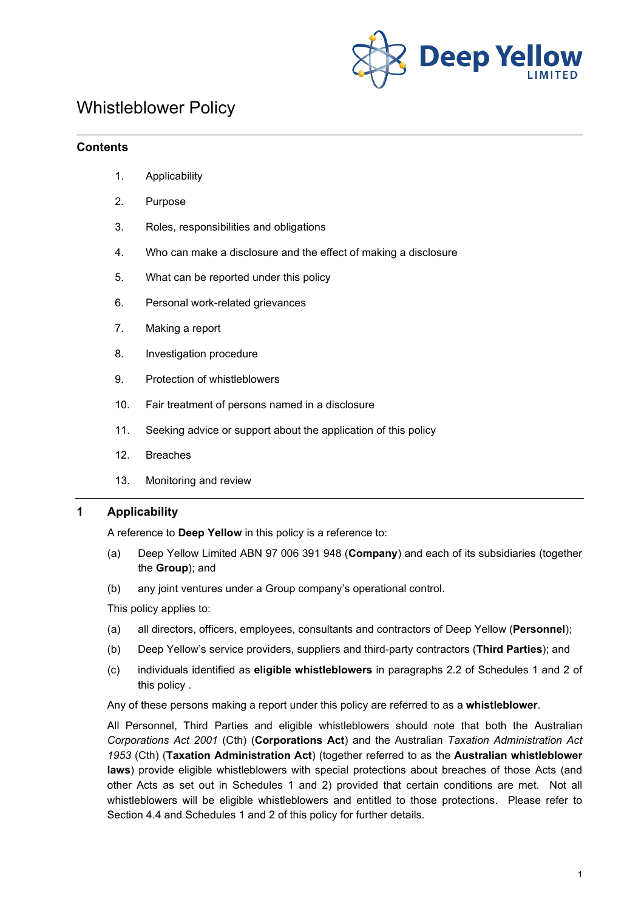

# Whistleblower Policy

## **Contents**

- 1. Applicability
- 2. Purpose
- 3. Roles, responsibilities and obligations
- 4. Who can make a disclosure and the effect of making a disclosure
- <span id="page-0-0"></span>5. What can be reported under this policy
- 6. Personal work-related grievances
- 7. Making a report
- 8. Investigation procedure
- 9. Protection of whistleblowers
- 10. Fair treatment of persons named in a disclosure
- 11. Seeking advice or support about the application of this policy
- 12. Breaches
- 13. Monitoring and review

#### **1 Applicability**

A reference to **Deep Yellow** in this policy is a reference to:

- (a) Deep Yellow Limited ABN 97 006 391 948 (**Company**) and each of its subsidiaries (together the **Group**); and
- (b) any joint ventures under a Group company's operational control.

This policy applies to:

- (a) all directors, officers, employees, consultants and contractors of Deep Yellow (**Personnel**);
- (b) Deep Yellow's service providers, suppliers and third-party contractors (**Third Parties**); and
- (c) individuals identified as **eligible whistleblowers** in paragraphs 2.2 of Schedules 1 and 2 of this policy .

Any of these persons making a report under this policy are referred to as a **whistleblower**.

All Personnel, Third Parties and eligible whistleblowers should note that both the Australian *Corporations Act 2001* (Cth) (**Corporations Act**) and the Australian *Taxation Administration Act 1953* (Cth) (**Taxation Administration Act**) (together referred to as the **Australian whistleblower laws**) provide eligible whistleblowers with special protections about breaches of those Acts (and other Acts as set out in Schedules 1 and 2) provided that certain conditions are met. Not all whistleblowers will be eligible whistleblowers and entitled to those protections. Please refer to Section [4.4](#page-2-0) and Schedules 1 and 2 of this policy for further details.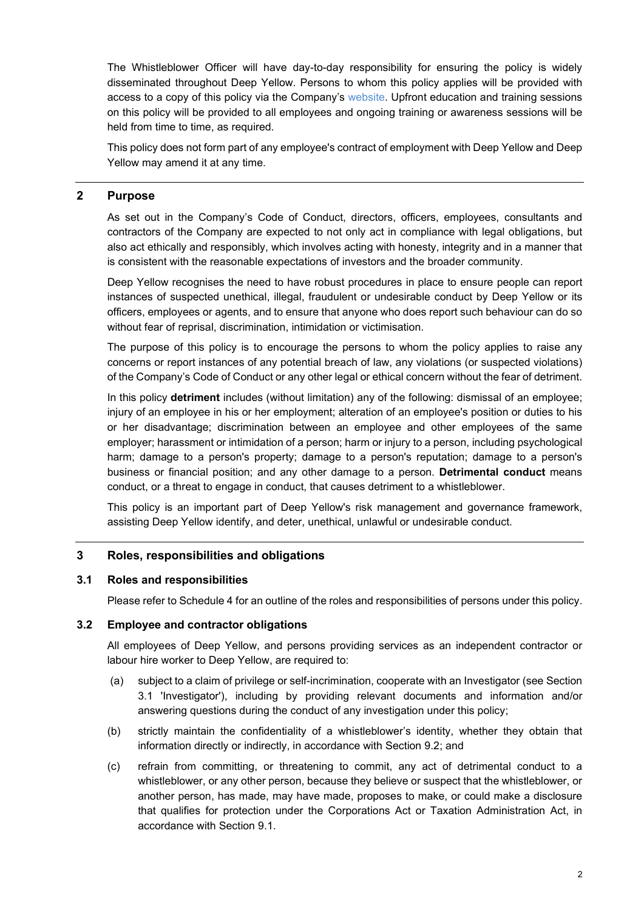The Whistleblower Officer will have day-to-day responsibility for ensuring the policy is widely disseminated throughout Deep Yellow. Persons to whom this policy applies will be provided with access to a copy of this policy via the Company's [website.](http://www.deepyellow.com.au/index.html) Upfront education and training sessions on this policy will be provided to all employees and ongoing training or awareness sessions will be held from time to time, as required.

This policy does not form part of any employee's contract of employment with Deep Yellow and Deep Yellow may amend it at any time.

## **2 Purpose**

As set out in the Company's Code of Conduct, directors, officers, employees, consultants and contractors of the Company are expected to not only act in compliance with legal obligations, but also act ethically and responsibly, which involves acting with honesty, integrity and in a manner that is consistent with the reasonable expectations of investors and the broader community.

Deep Yellow recognises the need to have robust procedures in place to ensure people can report instances of suspected unethical, illegal, fraudulent or undesirable conduct by Deep Yellow or its officers, employees or agents, and to ensure that anyone who does report such behaviour can do so without fear of reprisal, discrimination, intimidation or victimisation.

The purpose of this policy is to encourage the persons to whom the policy applies to raise any concerns or report instances of any potential breach of law, any violations (or suspected violations) of the Company's Code of Conduct or any other legal or ethical concern without the fear of detriment.

In this policy **detriment** includes (without limitation) any of the following: dismissal of an employee; injury of an employee in his or her employment; alteration of an employee's position or duties to his or her disadvantage; discrimination between an employee and other employees of the same employer; harassment or intimidation of a person; harm or injury to a person, including psychological harm; damage to a person's property; damage to a person's reputation; damage to a person's business or financial position; and any other damage to a person. **Detrimental conduct** means conduct, or a threat to engage in conduct, that causes detriment to a whistleblower.

This policy is an important part of Deep Yellow's risk management and governance framework, assisting Deep Yellow identify, and deter, unethical, unlawful or undesirable conduct.

#### **3 Roles, responsibilities and obligations**

#### <span id="page-1-0"></span>**3.1 Roles and responsibilities**

Please refer to Schedule 4 for an outline of the roles and responsibilities of persons under this policy.

#### **3.2 Employee and contractor obligations**

All employees of Deep Yellow, and persons providing services as an independent contractor or labour hire worker to Deep Yellow, are required to:

- (a) subject to a claim of privilege or self-incrimination, cooperate with an Investigator (see Section [3.1](#page-1-0) 'Investigator'), including by providing relevant documents and information and/or answering questions during the conduct of any investigation under this policy;
- (b) strictly maintain the confidentiality of a whistleblower's identity, whether they obtain that information directly or indirectly, in accordance with Section [9.2;](#page-10-0) and
- (c) refrain from committing, or threatening to commit, any act of detrimental conduct to a whistleblower, or any other person, because they believe or suspect that the whistleblower, or another person, has made, may have made, proposes to make, or could make a disclosure that qualifies for protection under the Corporations Act or Taxation Administration Act, in accordance with Section [9.1.](#page-9-0)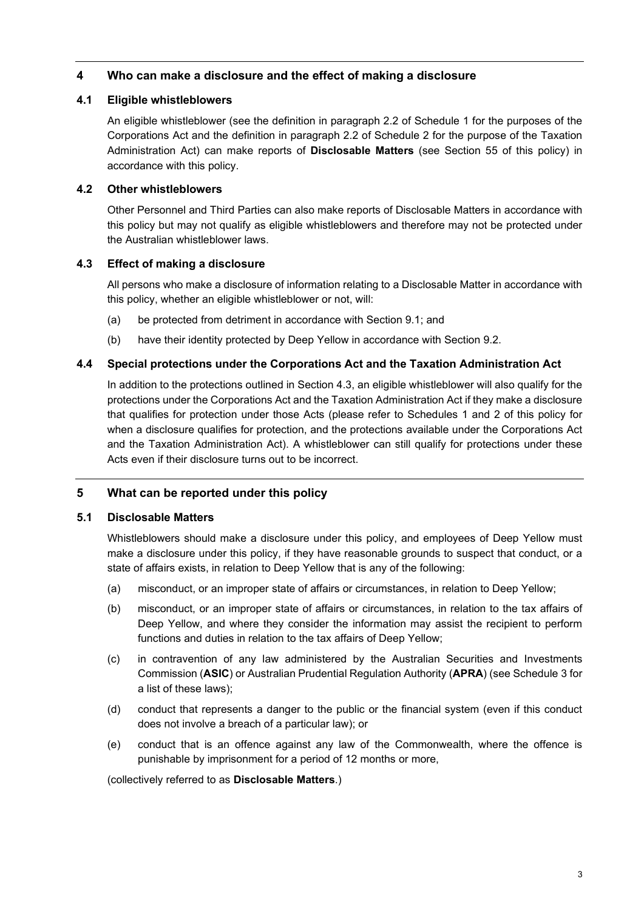## **4 Who can make a disclosure and the effect of making a disclosure**

## **4.1 Eligible whistleblowers**

An eligible whistleblower (see the definition in paragraph 2.2 of Schedule 1 for the purposes of the Corporations Act and the definition in paragraph 2.2 of Schedule 2 for the purpose of the Taxation Administration Act) can make reports of **Disclosable Matters** (see Section [5](#page-0-0)[5](#page-2-1) of this policy) in accordance with this policy.

## **4.2 Other whistleblowers**

Other Personnel and Third Parties can also make reports of Disclosable Matters in accordance with this policy but may not qualify as eligible whistleblowers and therefore may not be protected under the Australian whistleblower laws.

## <span id="page-2-2"></span>**4.3 Effect of making a disclosure**

All persons who make a disclosure of information relating to a Disclosable Matter in accordance with this policy, whether an eligible whistleblower or not, will:

- (a) be protected from detriment in accordance with Section [9.1;](#page-9-0) and
- (b) have their identity protected by Deep Yellow in accordance with Section [9.2.](#page-10-0)

## <span id="page-2-0"></span>**4.4 Special protections under the Corporations Act and the Taxation Administration Act**

In addition to the protections outlined in Section [4.3,](#page-2-2) an eligible whistleblower will also qualify for the protections under the Corporations Act and the Taxation Administration Act if they make a disclosure that qualifies for protection under those Acts (please refer to Schedules 1 and 2 of this policy for when a disclosure qualifies for protection, and the protections available under the Corporations Act and the Taxation Administration Act). A whistleblower can still qualify for protections under these Acts even if their disclosure turns out to be incorrect.

## <span id="page-2-1"></span>**5 What can be reported under this policy**

## **5.1 Disclosable Matters**

Whistleblowers should make a disclosure under this policy, and employees of Deep Yellow must make a disclosure under this policy, if they have reasonable grounds to suspect that conduct, or a state of affairs exists, in relation to Deep Yellow that is any of the following:

- (a) misconduct, or an improper state of affairs or circumstances, in relation to Deep Yellow;
- (b) misconduct, or an improper state of affairs or circumstances, in relation to the tax affairs of Deep Yellow, and where they consider the information may assist the recipient to perform functions and duties in relation to the tax affairs of Deep Yellow;
- <span id="page-2-3"></span>(c) in contravention of any law administered by the Australian Securities and Investments Commission (**ASIC**) or Australian Prudential Regulation Authority (**APRA**) (see Schedule 3 for a list of these laws);
- (d) conduct that represents a danger to the public or the financial system (even if this conduct does not involve a breach of a particular law); or
- (e) conduct that is an offence against any law of the Commonwealth, where the offence is punishable by imprisonment for a period of 12 months or more,

(collectively referred to as **Disclosable Matters**.)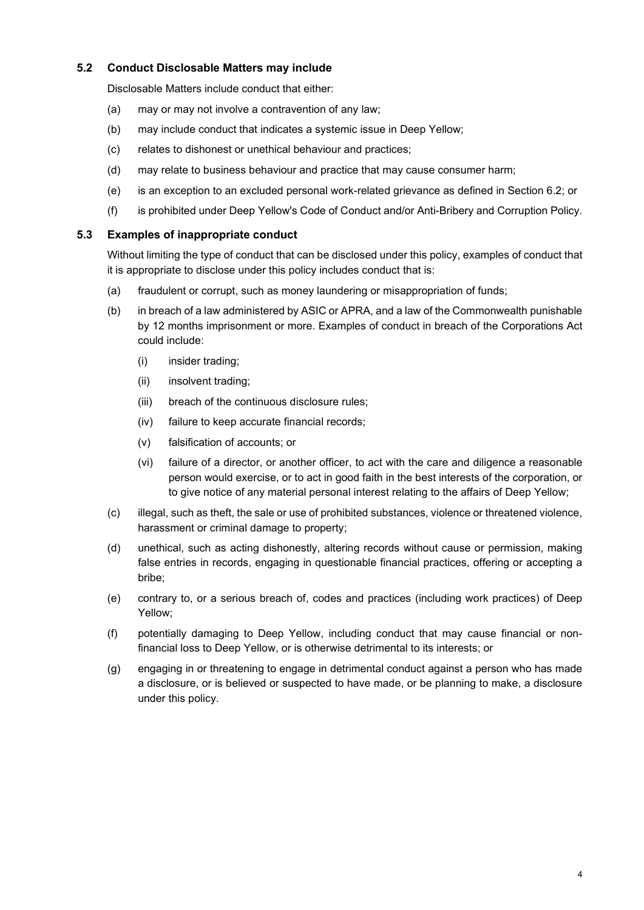## **5.2 Conduct Disclosable Matters may include**

Disclosable Matters include conduct that either:

- (a) may or may not involve a contravention of any law;
- (b) may include conduct that indicates a systemic issue in Deep Yellow;
- (c) relates to dishonest or unethical behaviour and practices;
- (d) may relate to business behaviour and practice that may cause consumer harm;
- (e) is an exception to an excluded personal work-related grievance as defined in Section [6.2;](#page-4-0) or
- (f) is prohibited under Deep Yellow's Code of Conduct and/or Anti-Bribery and Corruption Policy.

#### **5.3 Examples of inappropriate conduct**

Without limiting the type of conduct that can be disclosed under this policy, examples of conduct that it is appropriate to disclose under this policy includes conduct that is:

- (a) fraudulent or corrupt, such as money laundering or misappropriation of funds;
- (b) in breach of a law administered by ASIC or APRA, and a law of the Commonwealth punishable by 12 months imprisonment or more. Examples of conduct in breach of the Corporations Act could include:
	- (i) insider trading;
	- (ii) insolvent trading;
	- (iii) breach of the continuous disclosure rules;
	- (iv) failure to keep accurate financial records;
	- (v) falsification of accounts; or
	- (vi) failure of a director, or another officer, to act with the care and diligence a reasonable person would exercise, or to act in good faith in the best interests of the corporation, or to give notice of any material personal interest relating to the affairs of Deep Yellow;
- (c) illegal, such as theft, the sale or use of prohibited substances, violence or threatened violence, harassment or criminal damage to property;
- (d) unethical, such as acting dishonestly, altering records without cause or permission, making false entries in records, engaging in questionable financial practices, offering or accepting a bribe;
- (e) contrary to, or a serious breach of, codes and practices (including work practices) of Deep Yellow;
- (f) potentially damaging to Deep Yellow, including conduct that may cause financial or nonfinancial loss to Deep Yellow, or is otherwise detrimental to its interests; or
- (g) engaging in or threatening to engage in detrimental conduct against a person who has made a disclosure, or is believed or suspected to have made, or be planning to make, a disclosure under this policy.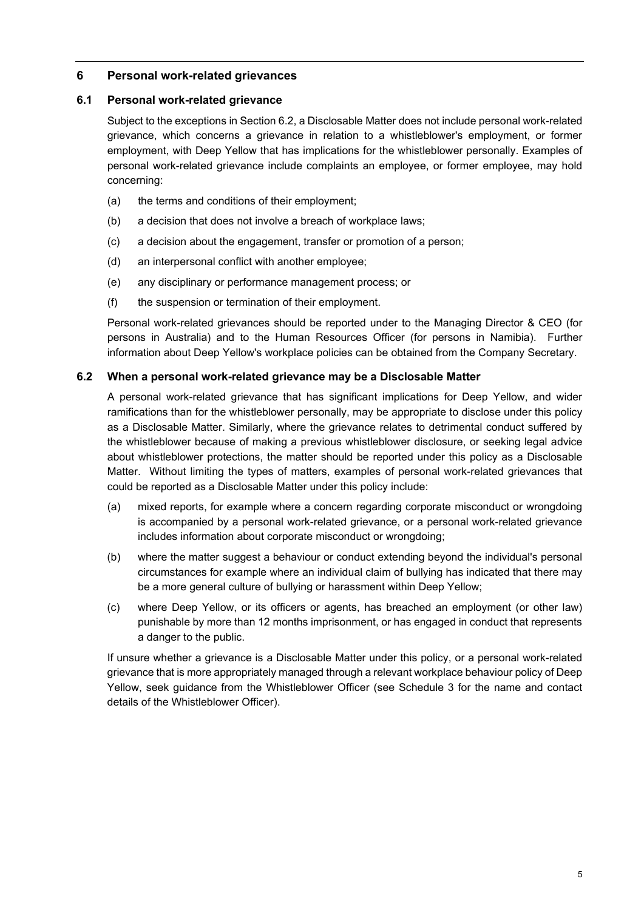## **6 Personal work-related grievances**

## **6.1 Personal work-related grievance**

Subject to the exceptions in Sectio[n 6.2,](#page-4-0) a Disclosable Matter does not include personal work-related grievance, which concerns a grievance in relation to a whistleblower's employment, or former employment, with Deep Yellow that has implications for the whistleblower personally. Examples of personal work-related grievance include complaints an employee, or former employee, may hold concerning:

- (a) the terms and conditions of their employment;
- (b) a decision that does not involve a breach of workplace laws;
- (c) a decision about the engagement, transfer or promotion of a person;
- (d) an interpersonal conflict with another employee;
- (e) any disciplinary or performance management process; or
- (f) the suspension or termination of their employment.

Personal work-related grievances should be reported under to the Managing Director & CEO (for persons in Australia) and to the Human Resources Officer (for persons in Namibia). Further information about Deep Yellow's workplace policies can be obtained from the Company Secretary.

## <span id="page-4-0"></span>**6.2 When a personal work-related grievance may be a Disclosable Matter**

A personal work-related grievance that has significant implications for Deep Yellow, and wider ramifications than for the whistleblower personally, may be appropriate to disclose under this policy as a Disclosable Matter. Similarly, where the grievance relates to detrimental conduct suffered by the whistleblower because of making a previous whistleblower disclosure, or seeking legal advice about whistleblower protections, the matter should be reported under this policy as a Disclosable Matter. Without limiting the types of matters, examples of personal work-related grievances that could be reported as a Disclosable Matter under this policy include:

- (a) mixed reports, for example where a concern regarding corporate misconduct or wrongdoing is accompanied by a personal work-related grievance, or a personal work-related grievance includes information about corporate misconduct or wrongdoing;
- (b) where the matter suggest a behaviour or conduct extending beyond the individual's personal circumstances for example where an individual claim of bullying has indicated that there may be a more general culture of bullying or harassment within Deep Yellow;
- (c) where Deep Yellow, or its officers or agents, has breached an employment (or other law) punishable by more than 12 months imprisonment, or has engaged in conduct that represents a danger to the public.

If unsure whether a grievance is a Disclosable Matter under this policy, or a personal work-related grievance that is more appropriately managed through a relevant workplace behaviour policy of Deep Yellow, seek guidance from the Whistleblower Officer (see Schedule 3 for the name and contact details of the Whistleblower Officer).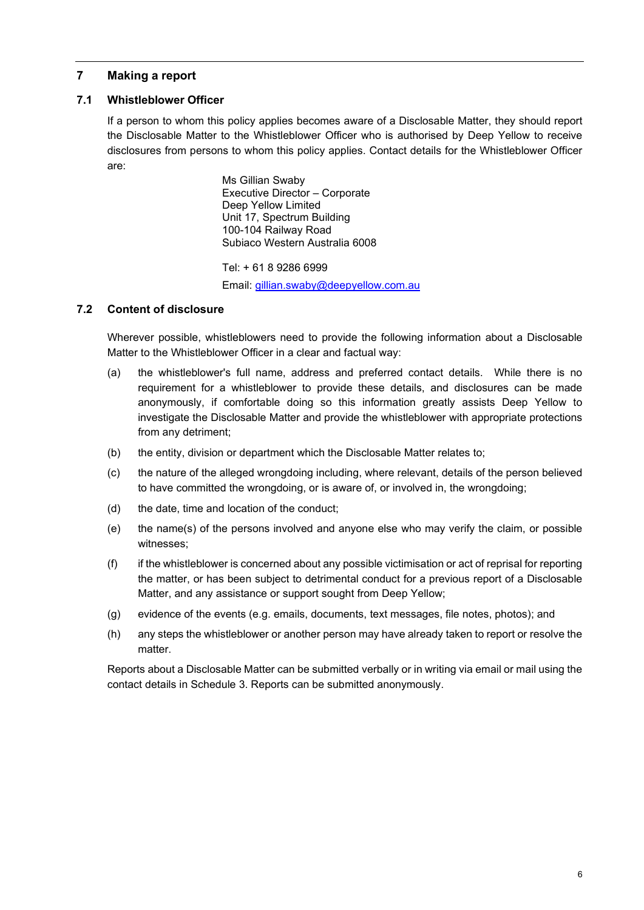## <span id="page-5-0"></span>**7 Making a report**

## <span id="page-5-1"></span>**7.1 Whistleblower Officer**

If a person to whom this policy applies becomes aware of a Disclosable Matter, they should report the Disclosable Matter to the Whistleblower Officer who is authorised by Deep Yellow to receive disclosures from persons to whom this policy applies. Contact details for the Whistleblower Officer are:

> Ms Gillian Swaby Executive Director – Corporate Deep Yellow Limited Unit 17, Spectrum Building 100-104 Railway Road Subiaco Western Australia 6008

Tel: + 61 8 9286 6999 Email: [gillian.swaby@deepyellow.com.au](mailto:gillian.swaby@deepyellow.com.au)

## **7.2 Content of disclosure**

Wherever possible, whistleblowers need to provide the following information about a Disclosable Matter to the Whistleblower Officer in a clear and factual way:

- (a) the whistleblower's full name, address and preferred contact details. While there is no requirement for a whistleblower to provide these details, and disclosures can be made anonymously, if comfortable doing so this information greatly assists Deep Yellow to investigate the Disclosable Matter and provide the whistleblower with appropriate protections from any detriment;
- (b) the entity, division or department which the Disclosable Matter relates to;
- (c) the nature of the alleged wrongdoing including, where relevant, details of the person believed to have committed the wrongdoing, or is aware of, or involved in, the wrongdoing;
- (d) the date, time and location of the conduct;
- (e) the name(s) of the persons involved and anyone else who may verify the claim, or possible witnesses;
- (f) if the whistleblower is concerned about any possible victimisation or act of reprisal for reporting the matter, or has been subject to detrimental conduct for a previous report of a Disclosable Matter, and any assistance or support sought from Deep Yellow;
- (g) evidence of the events (e.g. emails, documents, text messages, file notes, photos); and
- (h) any steps the whistleblower or another person may have already taken to report or resolve the matter.

Reports about a Disclosable Matter can be submitted verbally or in writing via email or mail using the contact details in Schedule 3. Reports can be submitted anonymously.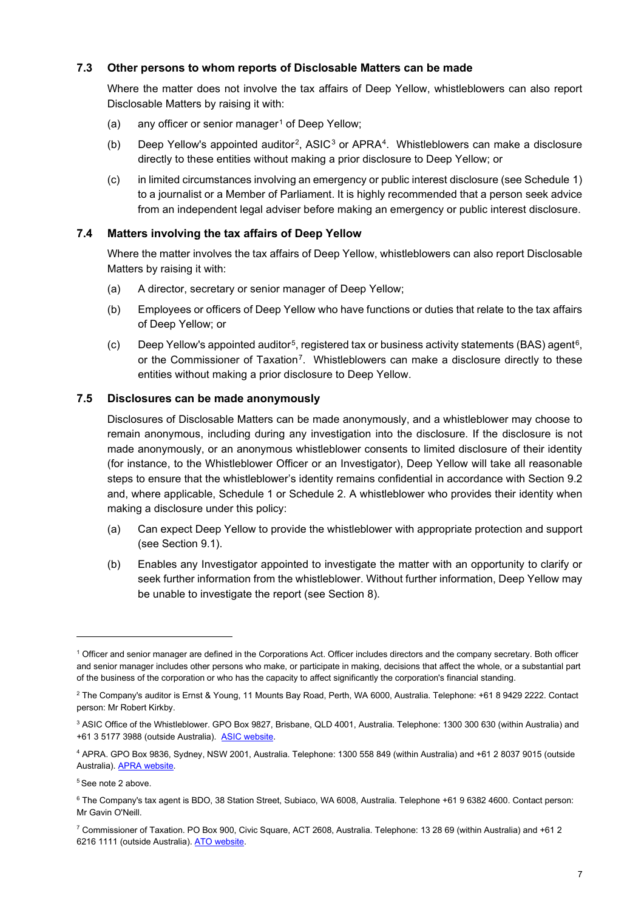## **7.3 Other persons to whom reports of Disclosable Matters can be made**

Where the matter does not involve the tax affairs of Deep Yellow, whistleblowers can also report Disclosable Matters by raising it with:

- <span id="page-6-7"></span>(a) any officer or senior manager<sup>[1](#page-6-0)</sup> of Deep Yellow;
- <span id="page-6-10"></span>(b) Deep Yellow's appointed auditor<sup>2</sup>, ASIC<sup>[3](#page-6-2)</sup> or APRA<sup>[4](#page-6-3)</sup>. Whistleblowers can make a disclosure directly to these entities without making a prior disclosure to Deep Yellow; or
- (c) in limited circumstances involving an emergency or public interest disclosure (see Schedule 1) to a journalist or a Member of Parliament. It is highly recommended that a person seek advice from an independent legal adviser before making an emergency or public interest disclosure.

#### **7.4 Matters involving the tax affairs of Deep Yellow**

Where the matter involves the tax affairs of Deep Yellow, whistleblowers can also report Disclosable Matters by raising it with:

- <span id="page-6-8"></span>(a) A director, secretary or senior manager of Deep Yellow;
- <span id="page-6-9"></span>(b) Employees or officers of Deep Yellow who have functions or duties that relate to the tax affairs of Deep Yellow; or
- (c) Deep Yellow's appointed auditor<sup>[5](#page-6-4)</sup>, registered tax or business activity statements (BAS) agent<sup>6</sup>, or the Commissioner of Taxation[7.](#page-6-6) Whistleblowers can make a disclosure directly to these entities without making a prior disclosure to Deep Yellow.

#### **7.5 Disclosures can be made anonymously**

Disclosures of Disclosable Matters can be made anonymously, and a whistleblower may choose to remain anonymous, including during any investigation into the disclosure. If the disclosure is not made anonymously, or an anonymous whistleblower consents to limited disclosure of their identity (for instance, to the Whistleblower Officer or an Investigator), Deep Yellow will take all reasonable steps to ensure that the whistleblower's identity remains confidential in accordance with Section [9.2](#page-10-0) and, where applicable, Schedule 1 or Schedule 2. A whistleblower who provides their identity when making a disclosure under this policy:

- (a) Can expect Deep Yellow to provide the whistleblower with appropriate protection and support (see Section [9.1\)](#page-9-0).
- (b) Enables any Investigator appointed to investigate the matter with an opportunity to clarify or seek further information from the whistleblower. Without further information, Deep Yellow may be unable to investigate the report (see Section [8\)](#page-7-0).

<span id="page-6-0"></span><sup>1</sup> Officer and senior manager are defined in the Corporations Act. Officer includes directors and the company secretary. Both officer and senior manager includes other persons who make, or participate in making, decisions that affect the whole, or a substantial part of the business of the corporation or who has the capacity to affect significantly the corporation's financial standing.

<span id="page-6-1"></span><sup>2</sup> The Company's auditor is Ernst & Young, 11 Mounts Bay Road, Perth, WA 6000, Australia. Telephone: +61 8 9429 2222. Contact person: Mr Robert Kirkby.

<span id="page-6-2"></span><sup>3</sup> ASIC Office of the Whistleblower. GPO Box 9827, Brisbane, QLD 4001, Australia. Telephone: 1300 300 630 (within Australia) and +61 3 5177 3988 (outside Australia). [ASIC website.](https://asic.gov.au/) 

<span id="page-6-3"></span><sup>4</sup> APRA. GPO Box 9836, Sydney, NSW 2001, Australia. Telephone: 1300 558 849 (within Australia) and +61 2 8037 9015 (outside Australia). [APRA website.](https://www.apra.gov.au/)

<span id="page-6-4"></span><sup>5</sup> See note 2 above.

<span id="page-6-5"></span><sup>6</sup> The Company's tax agent is BDO, 38 Station Street, Subiaco, WA 6008, Australia. Telephone +61 9 6382 4600. Contact person: Mr Gavin O'Neill.

<span id="page-6-6"></span><sup>7</sup> Commissioner of Taxation. PO Box 900, Civic Square, ACT 2608, Australia. Telephone: 13 28 69 (within Australia) and +61 2 6216 1111 (outside Australia). ATO website.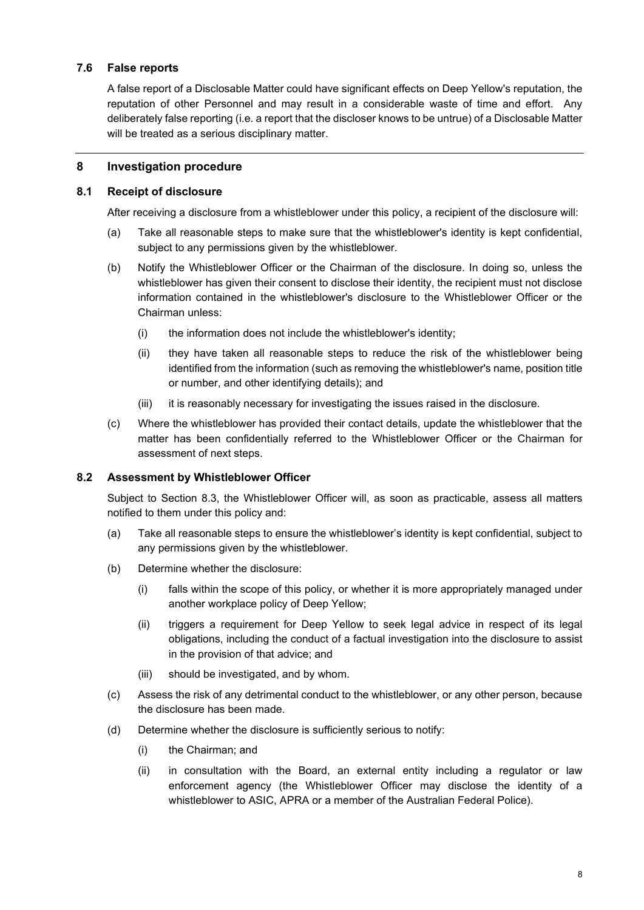## **7.6 False reports**

A false report of a Disclosable Matter could have significant effects on Deep Yellow's reputation, the reputation of other Personnel and may result in a considerable waste of time and effort. Any deliberately false reporting (i.e. a report that the discloser knows to be untrue) of a Disclosable Matter will be treated as a serious disciplinary matter.

#### <span id="page-7-0"></span>**8 Investigation procedure**

#### <span id="page-7-3"></span>**8.1 Receipt of disclosure**

After receiving a disclosure from a whistleblower under this policy, a recipient of the disclosure will:

- (a) Take all reasonable steps to make sure that the whistleblower's identity is kept confidential, subject to any permissions given by the whistleblower.
- (b) Notify the Whistleblower Officer or the Chairman of the disclosure. In doing so, unless the whistleblower has given their consent to disclose their identity, the recipient must not disclose information contained in the whistleblower's disclosure to the Whistleblower Officer or the Chairman unless:
	- (i) the information does not include the whistleblower's identity;
	- (ii) they have taken all reasonable steps to reduce the risk of the whistleblower being identified from the information (such as removing the whistleblower's name, position title or number, and other identifying details); and
	- (iii) it is reasonably necessary for investigating the issues raised in the disclosure.
- (c) Where the whistleblower has provided their contact details, update the whistleblower that the matter has been confidentially referred to the Whistleblower Officer or the Chairman for assessment of next steps.

## **8.2 Assessment by Whistleblower Officer**

Subject to Section [8.3,](#page-8-0) the Whistleblower Officer will, as soon as practicable, assess all matters notified to them under this policy and:

- <span id="page-7-1"></span>(a) Take all reasonable steps to ensure the whistleblower's identity is kept confidential, subject to any permissions given by the whistleblower.
- (b) Determine whether the disclosure:
	- (i) falls within the scope of this policy, or whether it is more appropriately managed under another workplace policy of Deep Yellow;
	- (ii) triggers a requirement for Deep Yellow to seek legal advice in respect of its legal obligations, including the conduct of a factual investigation into the disclosure to assist in the provision of that advice; and
	- (iii) should be investigated, and by whom.
- (c) Assess the risk of any detrimental conduct to the whistleblower, or any other person, because the disclosure has been made.
- <span id="page-7-2"></span>(d) Determine whether the disclosure is sufficiently serious to notify:
	- (i) the Chairman; and
	- (ii) in consultation with the Board, an external entity including a regulator or law enforcement agency (the Whistleblower Officer may disclose the identity of a whistleblower to ASIC, APRA or a member of the Australian Federal Police).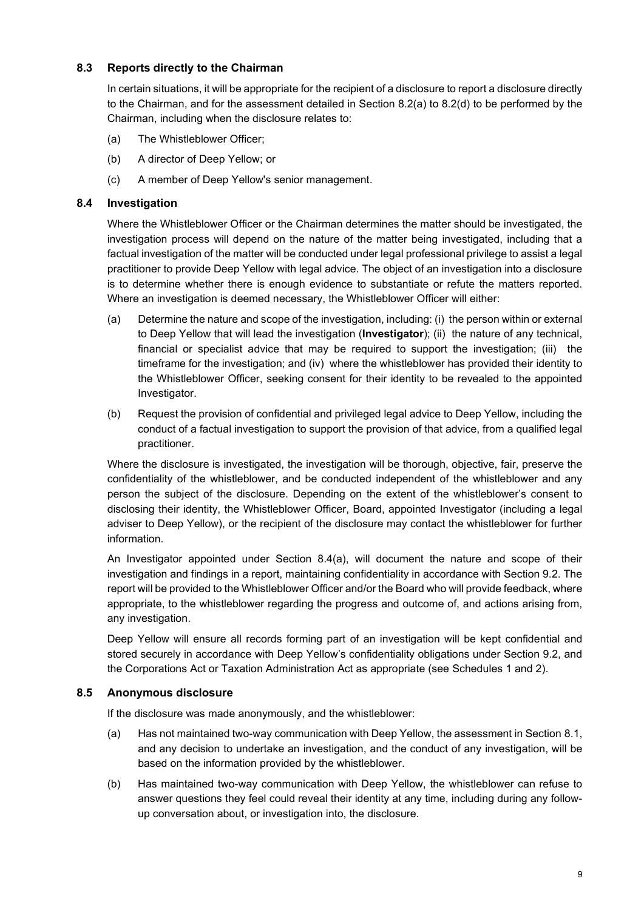## <span id="page-8-0"></span>**8.3 Reports directly to the Chairman**

In certain situations, it will be appropriate for the recipient of a disclosure to report a disclosure directly to the Chairman, and for the assessment detailed in Section [8.2\(a\)](#page-7-1) to [8.2\(d\)](#page-7-2) to be performed by the Chairman, including when the disclosure relates to:

- (a) The Whistleblower Officer;
- (b) A director of Deep Yellow; or
- (c) A member of Deep Yellow's senior management.

## <span id="page-8-1"></span>**8.4 Investigation**

Where the Whistleblower Officer or the Chairman determines the matter should be investigated, the investigation process will depend on the nature of the matter being investigated, including that a factual investigation of the matter will be conducted under legal professional privilege to assist a legal practitioner to provide Deep Yellow with legal advice. The object of an investigation into a disclosure is to determine whether there is enough evidence to substantiate or refute the matters reported. Where an investigation is deemed necessary, the Whistleblower Officer will either:

- <span id="page-8-2"></span>(a) Determine the nature and scope of the investigation, including: (i) the person within or external to Deep Yellow that will lead the investigation (**Investigator**); (ii) the nature of any technical, financial or specialist advice that may be required to support the investigation; (iii) the timeframe for the investigation; and (iv) where the whistleblower has provided their identity to the Whistleblower Officer, seeking consent for their identity to be revealed to the appointed Investigator.
- (b) Request the provision of confidential and privileged legal advice to Deep Yellow, including the conduct of a factual investigation to support the provision of that advice, from a qualified legal practitioner.

Where the disclosure is investigated, the investigation will be thorough, objective, fair, preserve the confidentiality of the whistleblower, and be conducted independent of the whistleblower and any person the subject of the disclosure. Depending on the extent of the whistleblower's consent to disclosing their identity, the Whistleblower Officer, Board, appointed Investigator (including a legal adviser to Deep Yellow), or the recipient of the disclosure may contact the whistleblower for further information.

An Investigator appointed under Section [8.4](#page-8-1)[\(a\),](#page-8-2) will document the nature and scope of their investigation and findings in a report, maintaining confidentiality in accordance with Section [9.2.](#page-10-0) The report will be provided to the Whistleblower Officer and/or the Board who will provide feedback, where appropriate, to the whistleblower regarding the progress and outcome of, and actions arising from, any investigation.

Deep Yellow will ensure all records forming part of an investigation will be kept confidential and stored securely in accordance with Deep Yellow's confidentiality obligations under Section [9.2,](#page-10-0) and the Corporations Act or Taxation Administration Act as appropriate (see Schedules 1 and 2).

## **8.5 Anonymous disclosure**

If the disclosure was made anonymously, and the whistleblower:

- (a) Has not maintained two-way communication with Deep Yellow, the assessment in Section [8.1,](#page-7-3) and any decision to undertake an investigation, and the conduct of any investigation, will be based on the information provided by the whistleblower.
- (b) Has maintained two-way communication with Deep Yellow, the whistleblower can refuse to answer questions they feel could reveal their identity at any time, including during any followup conversation about, or investigation into, the disclosure.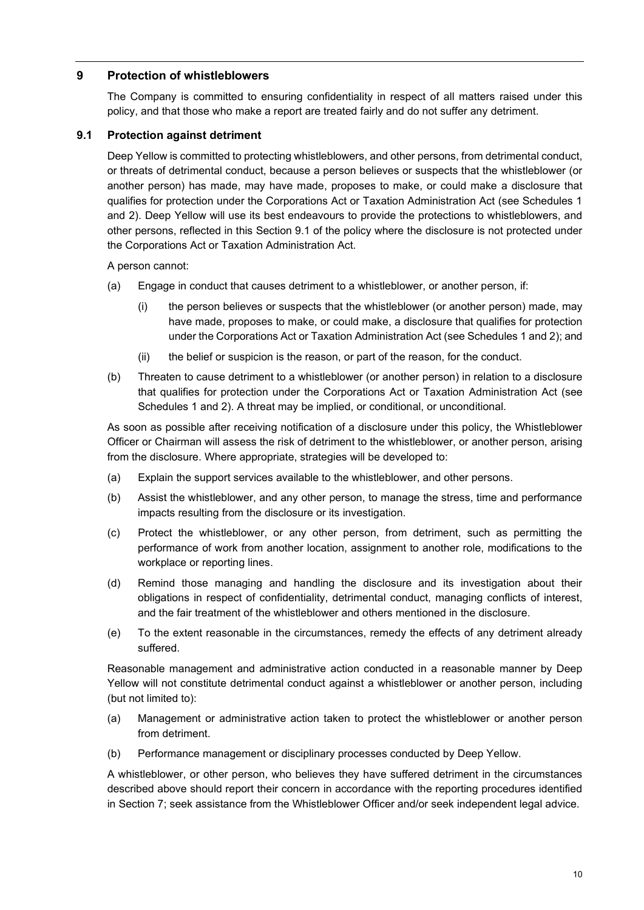## **9 Protection of whistleblowers**

The Company is committed to ensuring confidentiality in respect of all matters raised under this policy, and that those who make a report are treated fairly and do not suffer any detriment.

## <span id="page-9-0"></span>**9.1 Protection against detriment**

Deep Yellow is committed to protecting whistleblowers, and other persons, from detrimental conduct, or threats of detrimental conduct, because a person believes or suspects that the whistleblower (or another person) has made, may have made, proposes to make, or could make a disclosure that qualifies for protection under the Corporations Act or Taxation Administration Act (see Schedules 1 and 2). Deep Yellow will use its best endeavours to provide the protections to whistleblowers, and other persons, reflected in this Section [9.1](#page-9-0) of the policy where the disclosure is not protected under the Corporations Act or Taxation Administration Act.

A person cannot:

- (a) Engage in conduct that causes detriment to a whistleblower, or another person, if:
	- (i) the person believes or suspects that the whistleblower (or another person) made, may have made, proposes to make, or could make, a disclosure that qualifies for protection under the Corporations Act or Taxation Administration Act (see Schedules 1 and 2); and
	- (ii) the belief or suspicion is the reason, or part of the reason, for the conduct.
- (b) Threaten to cause detriment to a whistleblower (or another person) in relation to a disclosure that qualifies for protection under the Corporations Act or Taxation Administration Act (see Schedules 1 and 2). A threat may be implied, or conditional, or unconditional.

As soon as possible after receiving notification of a disclosure under this policy, the Whistleblower Officer or Chairman will assess the risk of detriment to the whistleblower, or another person, arising from the disclosure. Where appropriate, strategies will be developed to:

- (a) Explain the support services available to the whistleblower, and other persons.
- (b) Assist the whistleblower, and any other person, to manage the stress, time and performance impacts resulting from the disclosure or its investigation.
- (c) Protect the whistleblower, or any other person, from detriment, such as permitting the performance of work from another location, assignment to another role, modifications to the workplace or reporting lines.
- (d) Remind those managing and handling the disclosure and its investigation about their obligations in respect of confidentiality, detrimental conduct, managing conflicts of interest, and the fair treatment of the whistleblower and others mentioned in the disclosure.
- (e) To the extent reasonable in the circumstances, remedy the effects of any detriment already suffered.

Reasonable management and administrative action conducted in a reasonable manner by Deep Yellow will not constitute detrimental conduct against a whistleblower or another person, including (but not limited to):

- (a) Management or administrative action taken to protect the whistleblower or another person from detriment.
- (b) Performance management or disciplinary processes conducted by Deep Yellow.

A whistleblower, or other person, who believes they have suffered detriment in the circumstances described above should report their concern in accordance with the reporting procedures identified in Section [7;](#page-5-0) seek assistance from the Whistleblower Officer and/or seek independent legal advice.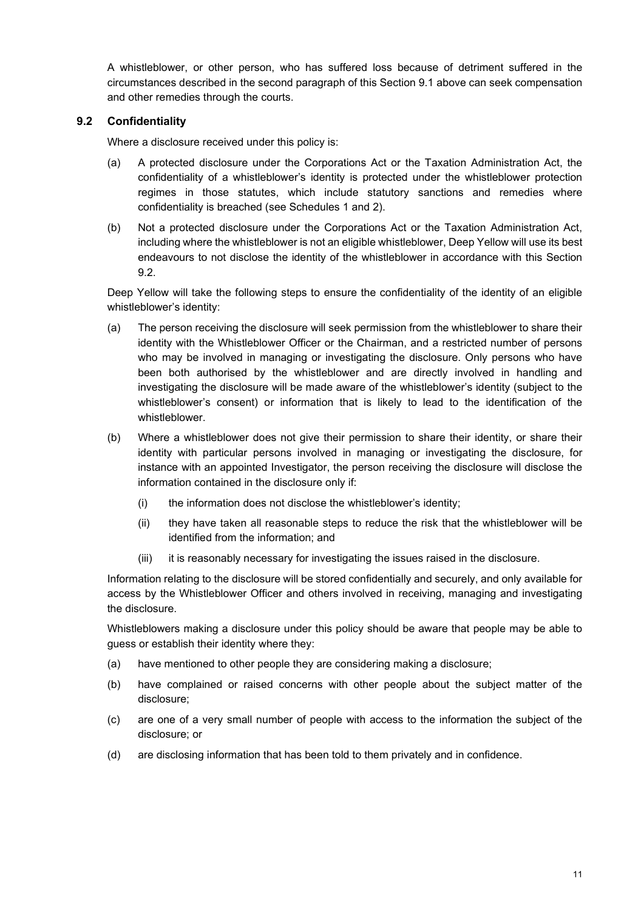A whistleblower, or other person, who has suffered loss because of detriment suffered in the circumstances described in the second paragraph of this Section [9.1](#page-9-0) above can seek compensation and other remedies through the courts.

## <span id="page-10-0"></span>**9.2 Confidentiality**

Where a disclosure received under this policy is:

- (a) A protected disclosure under the Corporations Act or the Taxation Administration Act, the confidentiality of a whistleblower's identity is protected under the whistleblower protection regimes in those statutes, which include statutory sanctions and remedies where confidentiality is breached (see Schedules 1 and 2).
- (b) Not a protected disclosure under the Corporations Act or the Taxation Administration Act, including where the whistleblower is not an eligible whistleblower, Deep Yellow will use its best endeavours to not disclose the identity of the whistleblower in accordance with this Section [9.2.](#page-10-0)

Deep Yellow will take the following steps to ensure the confidentiality of the identity of an eligible whistleblower's identity:

- (a) The person receiving the disclosure will seek permission from the whistleblower to share their identity with the Whistleblower Officer or the Chairman, and a restricted number of persons who may be involved in managing or investigating the disclosure. Only persons who have been both authorised by the whistleblower and are directly involved in handling and investigating the disclosure will be made aware of the whistleblower's identity (subject to the whistleblower's consent) or information that is likely to lead to the identification of the whistleblower.
- (b) Where a whistleblower does not give their permission to share their identity, or share their identity with particular persons involved in managing or investigating the disclosure, for instance with an appointed Investigator, the person receiving the disclosure will disclose the information contained in the disclosure only if:
	- (i) the information does not disclose the whistleblower's identity;
	- (ii) they have taken all reasonable steps to reduce the risk that the whistleblower will be identified from the information; and
	- (iii) it is reasonably necessary for investigating the issues raised in the disclosure.

Information relating to the disclosure will be stored confidentially and securely, and only available for access by the Whistleblower Officer and others involved in receiving, managing and investigating the disclosure.

Whistleblowers making a disclosure under this policy should be aware that people may be able to guess or establish their identity where they:

- (a) have mentioned to other people they are considering making a disclosure;
- (b) have complained or raised concerns with other people about the subject matter of the disclosure;
- (c) are one of a very small number of people with access to the information the subject of the disclosure; or
- (d) are disclosing information that has been told to them privately and in confidence.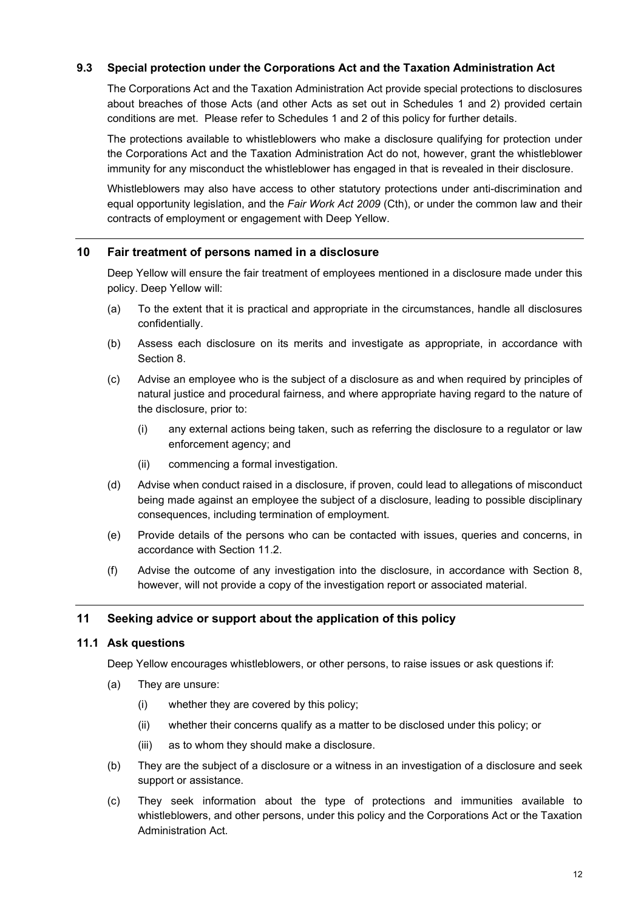## **9.3 Special protection under the Corporations Act and the Taxation Administration Act**

The Corporations Act and the Taxation Administration Act provide special protections to disclosures about breaches of those Acts (and other Acts as set out in Schedules 1 and 2) provided certain conditions are met. Please refer to Schedules 1 and 2 of this policy for further details.

The protections available to whistleblowers who make a disclosure qualifying for protection under the Corporations Act and the Taxation Administration Act do not, however, grant the whistleblower immunity for any misconduct the whistleblower has engaged in that is revealed in their disclosure.

Whistleblowers may also have access to other statutory protections under anti-discrimination and equal opportunity legislation, and the *Fair Work Act 2009* (Cth), or under the common law and their contracts of employment or engagement with Deep Yellow.

#### **10 Fair treatment of persons named in a disclosure**

Deep Yellow will ensure the fair treatment of employees mentioned in a disclosure made under this policy. Deep Yellow will:

- (a) To the extent that it is practical and appropriate in the circumstances, handle all disclosures confidentially.
- (b) Assess each disclosure on its merits and investigate as appropriate, in accordance with Section [8.](#page-7-0)
- (c) Advise an employee who is the subject of a disclosure as and when required by principles of natural justice and procedural fairness, and where appropriate having regard to the nature of the disclosure, prior to:
	- (i) any external actions being taken, such as referring the disclosure to a regulator or law enforcement agency; and
	- (ii) commencing a formal investigation.
- (d) Advise when conduct raised in a disclosure, if proven, could lead to allegations of misconduct being made against an employee the subject of a disclosure, leading to possible disciplinary consequences, including termination of employment.
- (e) Provide details of the persons who can be contacted with issues, queries and concerns, in accordance with Section [11.2.](#page-12-0)
- (f) Advise the outcome of any investigation into the disclosure, in accordance with Section [8,](#page-7-0) however, will not provide a copy of the investigation report or associated material.

#### **11 Seeking advice or support about the application of this policy**

#### **11.1 Ask questions**

Deep Yellow encourages whistleblowers, or other persons, to raise issues or ask questions if:

- <span id="page-11-0"></span>(a) They are unsure:
	- (i) whether they are covered by this policy;
	- (ii) whether their concerns qualify as a matter to be disclosed under this policy; or
	- (iii) as to whom they should make a disclosure.
- (b) They are the subject of a disclosure or a witness in an investigation of a disclosure and seek support or assistance.
- <span id="page-11-1"></span>(c) They seek information about the type of protections and immunities available to whistleblowers, and other persons, under this policy and the Corporations Act or the Taxation Administration Act.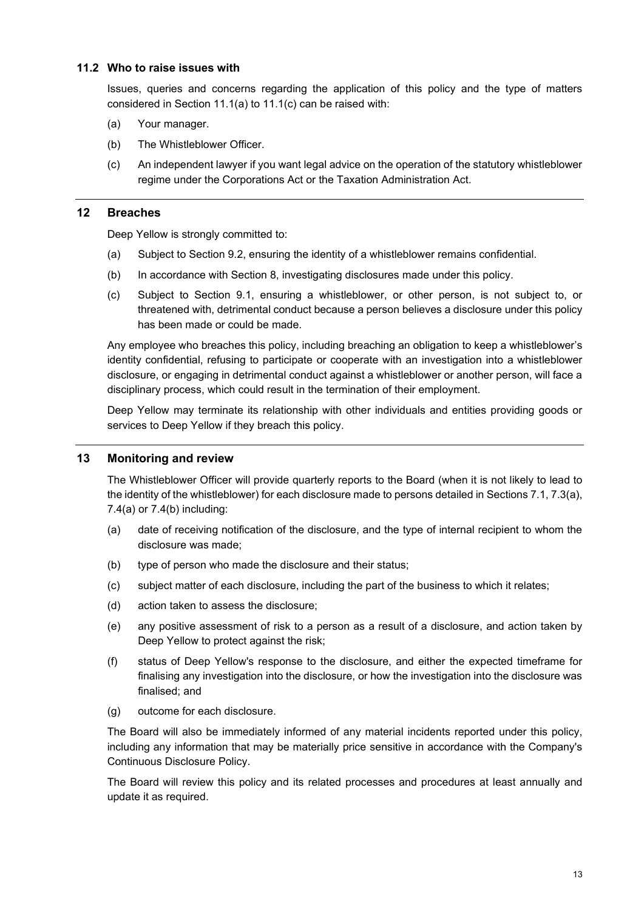#### <span id="page-12-0"></span>**11.2 Who to raise issues with**

Issues, queries and concerns regarding the application of this policy and the type of matters considered in Section [11.1\(a\)](#page-11-0) to [11.1\(c\)](#page-11-1) can be raised with:

- (a) Your manager.
- (b) The Whistleblower Officer.
- (c) An independent lawyer if you want legal advice on the operation of the statutory whistleblower regime under the Corporations Act or the Taxation Administration Act.

#### **12 Breaches**

Deep Yellow is strongly committed to:

- (a) Subject to Section [9.2,](#page-10-0) ensuring the identity of a whistleblower remains confidential.
- (b) In accordance with Section [8,](#page-7-0) investigating disclosures made under this policy.
- (c) Subject to Section [9.1,](#page-9-0) ensuring a whistleblower, or other person, is not subject to, or threatened with, detrimental conduct because a person believes a disclosure under this policy has been made or could be made.

Any employee who breaches this policy, including breaching an obligation to keep a whistleblower's identity confidential, refusing to participate or cooperate with an investigation into a whistleblower disclosure, or engaging in detrimental conduct against a whistleblower or another person, will face a disciplinary process, which could result in the termination of their employment.

Deep Yellow may terminate its relationship with other individuals and entities providing goods or services to Deep Yellow if they breach this policy.

#### **13 Monitoring and review**

The Whistleblower Officer will provide quarterly reports to the Board (when it is not likely to lead to the identity of the whistleblower) for each disclosure made to persons detailed in Section[s 7.1,](#page-5-1) [7.3\(a\),](#page-6-7) [7.4\(a\)](#page-6-8) or [7.4\(b\)](#page-6-9) including:

- (a) date of receiving notification of the disclosure, and the type of internal recipient to whom the disclosure was made;
- (b) type of person who made the disclosure and their status;
- (c) subject matter of each disclosure, including the part of the business to which it relates;
- (d) action taken to assess the disclosure;
- (e) any positive assessment of risk to a person as a result of a disclosure, and action taken by Deep Yellow to protect against the risk;
- (f) status of Deep Yellow's response to the disclosure, and either the expected timeframe for finalising any investigation into the disclosure, or how the investigation into the disclosure was finalised; and
- (g) outcome for each disclosure.

The Board will also be immediately informed of any material incidents reported under this policy, including any information that may be materially price sensitive in accordance with the Company's Continuous Disclosure Policy.

The Board will review this policy and its related processes and procedures at least annually and update it as required.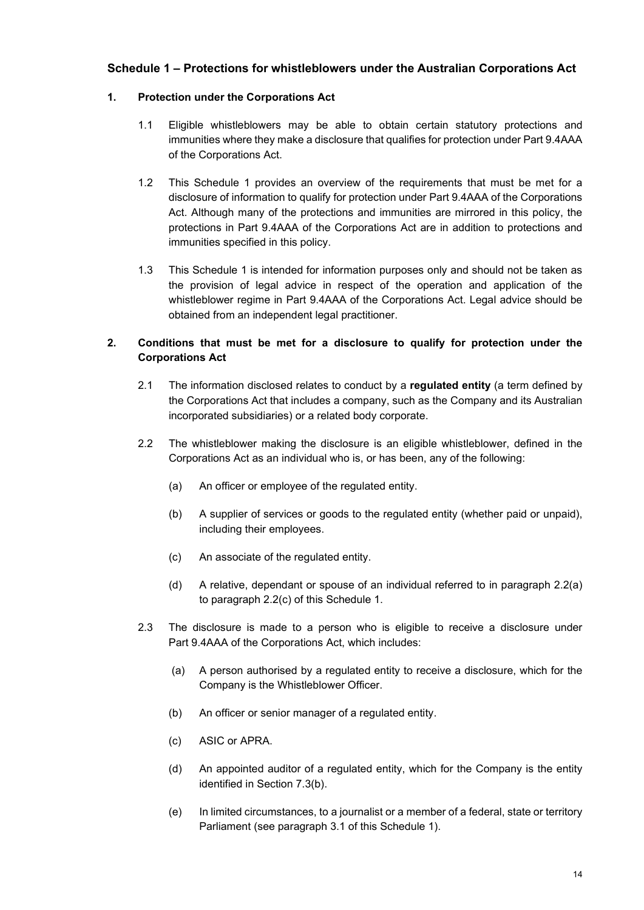## **Schedule 1 – Protections for whistleblowers under the Australian Corporations Act**

## **1. Protection under the Corporations Act**

- 1.1 Eligible whistleblowers may be able to obtain certain statutory protections and immunities where they make a disclosure that qualifies for protection under Part 9.4AAA of the Corporations Act.
- 1.2 This Schedule 1 provides an overview of the requirements that must be met for a disclosure of information to qualify for protection under Part 9.4AAA of the Corporations Act. Although many of the protections and immunities are mirrored in this policy, the protections in Part 9.4AAA of the Corporations Act are in addition to protections and immunities specified in this policy.
- 1.3 This Schedule 1 is intended for information purposes only and should not be taken as the provision of legal advice in respect of the operation and application of the whistleblower regime in Part 9.4AAA of the Corporations Act. Legal advice should be obtained from an independent legal practitioner.

## **2. Conditions that must be met for a disclosure to qualify for protection under the Corporations Act**

- 2.1 The information disclosed relates to conduct by a **regulated entity** (a term defined by the Corporations Act that includes a company, such as the Company and its Australian incorporated subsidiaries) or a related body corporate.
- 2.2 The whistleblower making the disclosure is an eligible whistleblower, defined in the Corporations Act as an individual who is, or has been, any of the following:
	- (a) An officer or employee of the regulated entity.
	- (b) A supplier of services or goods to the regulated entity (whether paid or unpaid), including their employees.
	- (c) An associate of the regulated entity.
	- (d) A relative, dependant or spouse of an individual referred to in paragraph 2.2(a) to paragraph 2.2(c) of this Schedule 1.
- 2.3 The disclosure is made to a person who is eligible to receive a disclosure under Part 9.4AAA of the Corporations Act, which includes:
	- (a) A person authorised by a regulated entity to receive a disclosure, which for the Company is the Whistleblower Officer.
	- (b) An officer or senior manager of a regulated entity.
	- (c) ASIC or APRA.
	- (d) An appointed auditor of a regulated entity, which for the Company is the entity identified in Section [7.3\(b\).](#page-6-10)
	- (e) In limited circumstances, to a journalist or a member of a federal, state or territory Parliament (see paragraph 3.1 of this Schedule 1).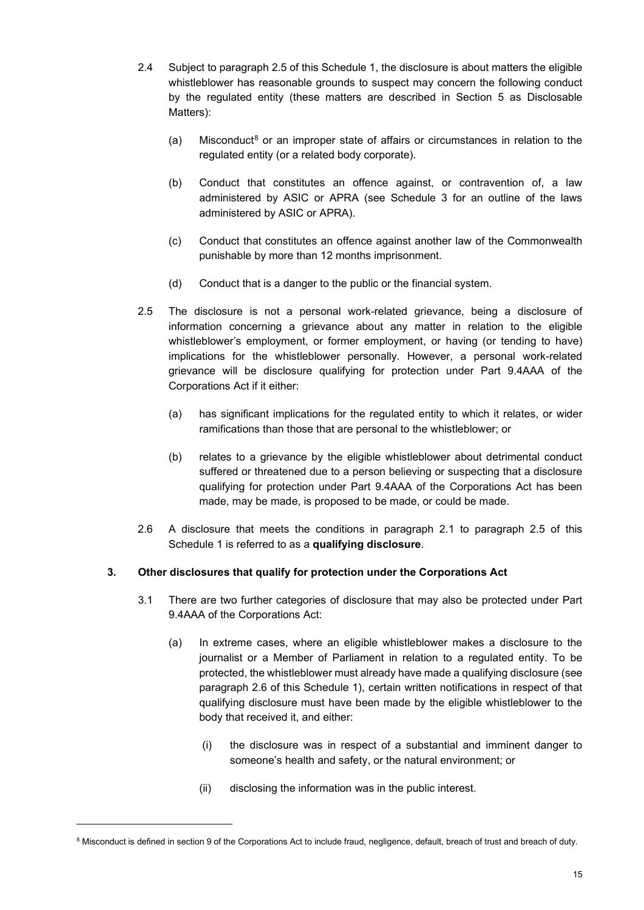- 2.4 Subject to paragraph 2.5 of this Schedule 1, the disclosure is about matters the eligible whistleblower has reasonable grounds to suspect may concern the following conduct by the regulated entity (these matters are described in Section 5 as Disclosable Matters):
	- (a) Misconduct<sup>[8](#page-14-0)</sup> or an improper state of affairs or circumstances in relation to the regulated entity (or a related body corporate).
	- (b) Conduct that constitutes an offence against, or contravention of, a law administered by ASIC or APRA (see Schedule 3 for an outline of the laws administered by ASIC or APRA).
	- (c) Conduct that constitutes an offence against another law of the Commonwealth punishable by more than 12 months imprisonment.
	- (d) Conduct that is a danger to the public or the financial system.
- 2.5 The disclosure is not a personal work-related grievance, being a disclosure of information concerning a grievance about any matter in relation to the eligible whistleblower's employment, or former employment, or having (or tending to have) implications for the whistleblower personally. However, a personal work-related grievance will be disclosure qualifying for protection under Part 9.4AAA of the Corporations Act if it either:
	- (a) has significant implications for the regulated entity to which it relates, or wider ramifications than those that are personal to the whistleblower; or
	- (b) relates to a grievance by the eligible whistleblower about detrimental conduct suffered or threatened due to a person believing or suspecting that a disclosure qualifying for protection under Part 9.4AAA of the Corporations Act has been made, may be made, is proposed to be made, or could be made.
- 2.6 A disclosure that meets the conditions in paragraph 2.1 to paragraph 2.5 of this Schedule 1 is referred to as a **qualifying disclosure**.

## **3. Other disclosures that qualify for protection under the Corporations Act**

- 3.1 There are two further categories of disclosure that may also be protected under Part 9.4AAA of the Corporations Act:
	- (a) In extreme cases, where an eligible whistleblower makes a disclosure to the journalist or a Member of Parliament in relation to a regulated entity. To be protected, the whistleblower must already have made a qualifying disclosure (see paragraph 2.6 of this Schedule 1), certain written notifications in respect of that qualifying disclosure must have been made by the eligible whistleblower to the body that received it, and either:
		- (i) the disclosure was in respect of a substantial and imminent danger to someone's health and safety, or the natural environment; or
		- (ii) disclosing the information was in the public interest.

<span id="page-14-0"></span><sup>&</sup>lt;sup>8</sup> Misconduct is defined in section 9 of the Corporations Act to include fraud, negligence, default, breach of trust and breach of duty.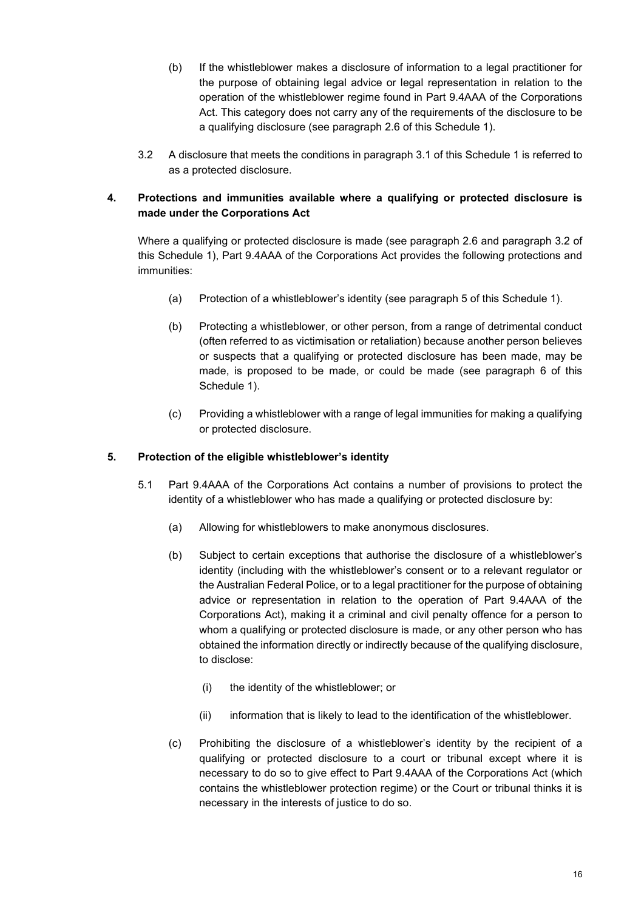- (b) If the whistleblower makes a disclosure of information to a legal practitioner for the purpose of obtaining legal advice or legal representation in relation to the operation of the whistleblower regime found in Part 9.4AAA of the Corporations Act. This category does not carry any of the requirements of the disclosure to be a qualifying disclosure (see paragraph 2.6 of this Schedule 1).
- 3.2 A disclosure that meets the conditions in paragraph 3.1 of this Schedule 1 is referred to as a protected disclosure.

## **4. Protections and immunities available where a qualifying or protected disclosure is made under the Corporations Act**

Where a qualifying or protected disclosure is made (see paragraph 2.6 and paragraph 3.2 of this Schedule 1), Part 9.4AAA of the Corporations Act provides the following protections and immunities:

- (a) Protection of a whistleblower's identity (see paragraph 5 of this Schedule 1).
- (b) Protecting a whistleblower, or other person, from a range of detrimental conduct (often referred to as victimisation or retaliation) because another person believes or suspects that a qualifying or protected disclosure has been made, may be made, is proposed to be made, or could be made (see paragraph 6 of this Schedule 1).
- (c) Providing a whistleblower with a range of legal immunities for making a qualifying or protected disclosure.

#### **5. Protection of the eligible whistleblower's identity**

- 5.1 Part 9.4AAA of the Corporations Act contains a number of provisions to protect the identity of a whistleblower who has made a qualifying or protected disclosure by:
	- (a) Allowing for whistleblowers to make anonymous disclosures.
	- (b) Subject to certain exceptions that authorise the disclosure of a whistleblower's identity (including with the whistleblower's consent or to a relevant regulator or the Australian Federal Police, or to a legal practitioner for the purpose of obtaining advice or representation in relation to the operation of Part 9.4AAA of the Corporations Act), making it a criminal and civil penalty offence for a person to whom a qualifying or protected disclosure is made, or any other person who has obtained the information directly or indirectly because of the qualifying disclosure, to disclose:
		- (i) the identity of the whistleblower; or
		- (ii) information that is likely to lead to the identification of the whistleblower.
	- (c) Prohibiting the disclosure of a whistleblower's identity by the recipient of a qualifying or protected disclosure to a court or tribunal except where it is necessary to do so to give effect to Part 9.4AAA of the Corporations Act (which contains the whistleblower protection regime) or the Court or tribunal thinks it is necessary in the interests of justice to do so.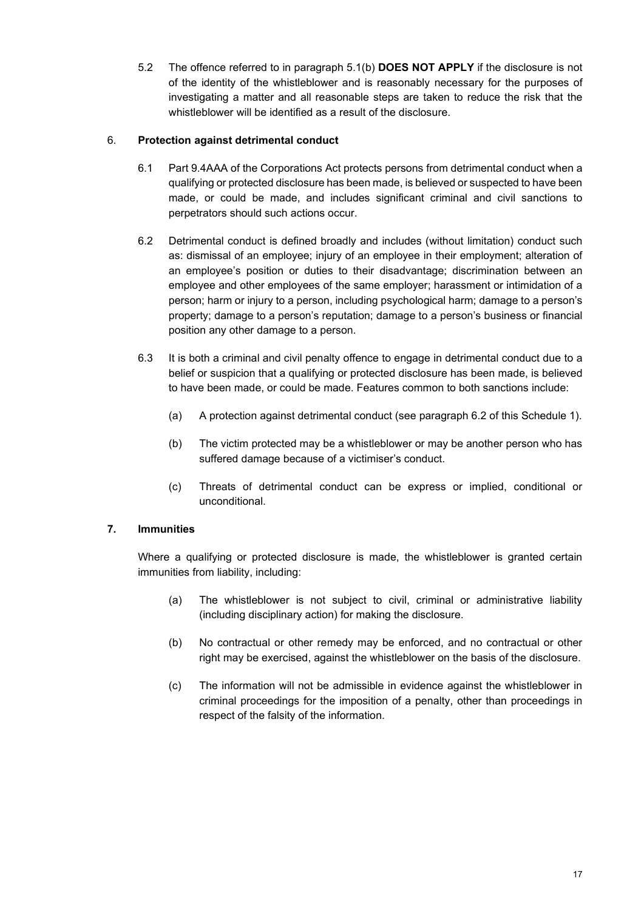5.2 The offence referred to in paragraph 5.1(b) **DOES NOT APPLY** if the disclosure is not of the identity of the whistleblower and is reasonably necessary for the purposes of investigating a matter and all reasonable steps are taken to reduce the risk that the whistleblower will be identified as a result of the disclosure.

## 6. **Protection against detrimental conduct**

- 6.1 Part 9.4AAA of the Corporations Act protects persons from detrimental conduct when a qualifying or protected disclosure has been made, is believed or suspected to have been made, or could be made, and includes significant criminal and civil sanctions to perpetrators should such actions occur.
- 6.2 Detrimental conduct is defined broadly and includes (without limitation) conduct such as: dismissal of an employee; injury of an employee in their employment; alteration of an employee's position or duties to their disadvantage; discrimination between an employee and other employees of the same employer; harassment or intimidation of a person; harm or injury to a person, including psychological harm; damage to a person's property; damage to a person's reputation; damage to a person's business or financial position any other damage to a person.
- 6.3 It is both a criminal and civil penalty offence to engage in detrimental conduct due to a belief or suspicion that a qualifying or protected disclosure has been made, is believed to have been made, or could be made. Features common to both sanctions include:
	- (a) A protection against detrimental conduct (see paragraph 6.2 of this Schedule 1).
	- (b) The victim protected may be a whistleblower or may be another person who has suffered damage because of a victimiser's conduct.
	- (c) Threats of detrimental conduct can be express or implied, conditional or unconditional.

## **7. Immunities**

Where a qualifying or protected disclosure is made, the whistleblower is granted certain immunities from liability, including:

- (a) The whistleblower is not subject to civil, criminal or administrative liability (including disciplinary action) for making the disclosure.
- (b) No contractual or other remedy may be enforced, and no contractual or other right may be exercised, against the whistleblower on the basis of the disclosure.
- (c) The information will not be admissible in evidence against the whistleblower in criminal proceedings for the imposition of a penalty, other than proceedings in respect of the falsity of the information.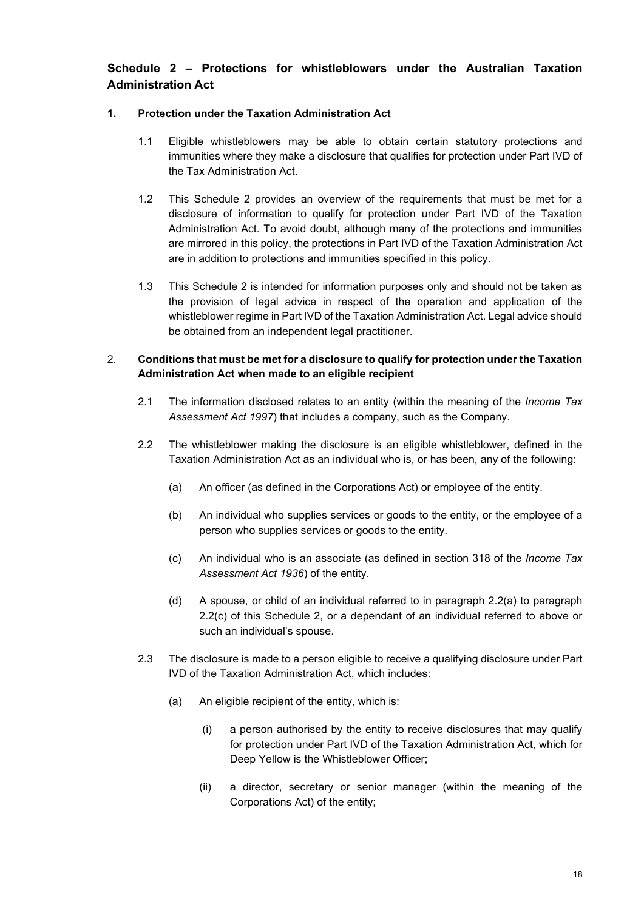## **Schedule 2 – Protections for whistleblowers under the Australian Taxation Administration Act**

## **1. Protection under the Taxation Administration Act**

- 1.1 Eligible whistleblowers may be able to obtain certain statutory protections and immunities where they make a disclosure that qualifies for protection under Part IVD of the Tax Administration Act.
- 1.2 This Schedule 2 provides an overview of the requirements that must be met for a disclosure of information to qualify for protection under Part IVD of the Taxation Administration Act. To avoid doubt, although many of the protections and immunities are mirrored in this policy, the protections in Part IVD of the Taxation Administration Act are in addition to protections and immunities specified in this policy.
- 1.3 This Schedule 2 is intended for information purposes only and should not be taken as the provision of legal advice in respect of the operation and application of the whistleblower regime in Part IVD of the Taxation Administration Act. Legal advice should be obtained from an independent legal practitioner.

## 2. **Conditions that must be met for a disclosure to qualify for protection under the Taxation Administration Act when made to an eligible recipient**

- 2.1 The information disclosed relates to an entity (within the meaning of the *Income Tax Assessment Act 1997*) that includes a company, such as the Company.
- 2.2 The whistleblower making the disclosure is an eligible whistleblower, defined in the Taxation Administration Act as an individual who is, or has been, any of the following:
	- (a) An officer (as defined in the Corporations Act) or employee of the entity.
	- (b) An individual who supplies services or goods to the entity, or the employee of a person who supplies services or goods to the entity.
	- (c) An individual who is an associate (as defined in section 318 of the *Income Tax Assessment Act 1936*) of the entity.
	- (d) A spouse, or child of an individual referred to in paragraph 2.2(a) to paragraph 2.2(c) of this Schedule 2, or a dependant of an individual referred to above or such an individual's spouse.
- 2.3 The disclosure is made to a person eligible to receive a qualifying disclosure under Part IVD of the Taxation Administration Act, which includes:
	- (a) An eligible recipient of the entity, which is:
		- (i) a person authorised by the entity to receive disclosures that may qualify for protection under Part IVD of the Taxation Administration Act, which for Deep Yellow is the Whistleblower Officer;
		- (ii) a director, secretary or senior manager (within the meaning of the Corporations Act) of the entity;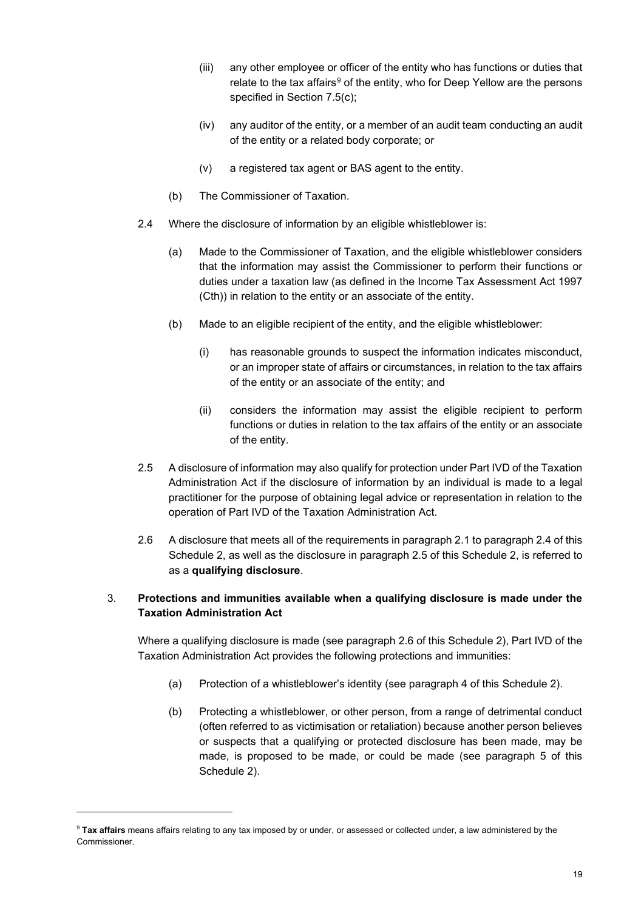- (iii) any other employee or officer of the entity who has functions or duties that relate to the tax affairs<sup>[9](#page-18-0)</sup> of the entity, who for Deep Yellow are the persons specified in Section 7.5(c);
- (iv) any auditor of the entity, or a member of an audit team conducting an audit of the entity or a related body corporate; or
- (v) a registered tax agent or BAS agent to the entity.
- (b) The Commissioner of Taxation.
- 2.4 Where the disclosure of information by an eligible whistleblower is:
	- (a) Made to the Commissioner of Taxation, and the eligible whistleblower considers that the information may assist the Commissioner to perform their functions or duties under a taxation law (as defined in the Income Tax Assessment Act 1997 (Cth)) in relation to the entity or an associate of the entity.
	- (b) Made to an eligible recipient of the entity, and the eligible whistleblower:
		- (i) has reasonable grounds to suspect the information indicates misconduct, or an improper state of affairs or circumstances, in relation to the tax affairs of the entity or an associate of the entity; and
		- (ii) considers the information may assist the eligible recipient to perform functions or duties in relation to the tax affairs of the entity or an associate of the entity.
- 2.5 A disclosure of information may also qualify for protection under Part IVD of the Taxation Administration Act if the disclosure of information by an individual is made to a legal practitioner for the purpose of obtaining legal advice or representation in relation to the operation of Part IVD of the Taxation Administration Act.
- 2.6 A disclosure that meets all of the requirements in paragraph 2.1 to paragraph 2.4 of this Schedule 2, as well as the disclosure in paragraph 2.5 of this Schedule 2, is referred to as a **qualifying disclosure**.

## 3. **Protections and immunities available when a qualifying disclosure is made under the Taxation Administration Act**

Where a qualifying disclosure is made (see paragraph 2.6 of this Schedule 2), Part IVD of the Taxation Administration Act provides the following protections and immunities:

- (a) Protection of a whistleblower's identity (see paragraph 4 of this Schedule 2).
- (b) Protecting a whistleblower, or other person, from a range of detrimental conduct (often referred to as victimisation or retaliation) because another person believes or suspects that a qualifying or protected disclosure has been made, may be made, is proposed to be made, or could be made (see paragraph 5 of this Schedule 2).

<span id="page-18-0"></span><sup>9</sup> **Tax affairs** means affairs relating to any tax imposed by or under, or assessed or collected under, a law administered by the Commissioner.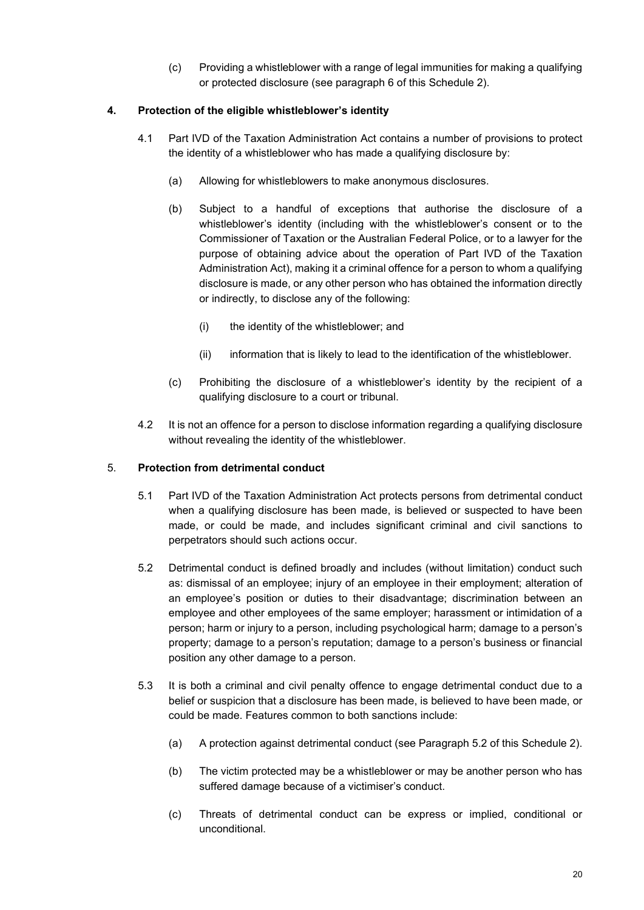(c) Providing a whistleblower with a range of legal immunities for making a qualifying or protected disclosure (see paragraph 6 of this Schedule 2).

## **4. Protection of the eligible whistleblower's identity**

- 4.1 Part IVD of the Taxation Administration Act contains a number of provisions to protect the identity of a whistleblower who has made a qualifying disclosure by:
	- (a) Allowing for whistleblowers to make anonymous disclosures.
	- (b) Subject to a handful of exceptions that authorise the disclosure of a whistleblower's identity (including with the whistleblower's consent or to the Commissioner of Taxation or the Australian Federal Police, or to a lawyer for the purpose of obtaining advice about the operation of Part IVD of the Taxation Administration Act), making it a criminal offence for a person to whom a qualifying disclosure is made, or any other person who has obtained the information directly or indirectly, to disclose any of the following:
		- (i) the identity of the whistleblower; and
		- (ii) information that is likely to lead to the identification of the whistleblower.
	- (c) Prohibiting the disclosure of a whistleblower's identity by the recipient of a qualifying disclosure to a court or tribunal.
- 4.2 It is not an offence for a person to disclose information regarding a qualifying disclosure without revealing the identity of the whistleblower.

#### 5. **Protection from detrimental conduct**

- 5.1 Part IVD of the Taxation Administration Act protects persons from detrimental conduct when a qualifying disclosure has been made, is believed or suspected to have been made, or could be made, and includes significant criminal and civil sanctions to perpetrators should such actions occur.
- 5.2 Detrimental conduct is defined broadly and includes (without limitation) conduct such as: dismissal of an employee; injury of an employee in their employment; alteration of an employee's position or duties to their disadvantage; discrimination between an employee and other employees of the same employer; harassment or intimidation of a person; harm or injury to a person, including psychological harm; damage to a person's property; damage to a person's reputation; damage to a person's business or financial position any other damage to a person.
- 5.3 It is both a criminal and civil penalty offence to engage detrimental conduct due to a belief or suspicion that a disclosure has been made, is believed to have been made, or could be made. Features common to both sanctions include:
	- (a) A protection against detrimental conduct (see Paragraph 5.2 of this Schedule 2).
	- (b) The victim protected may be a whistleblower or may be another person who has suffered damage because of a victimiser's conduct.
	- (c) Threats of detrimental conduct can be express or implied, conditional or unconditional.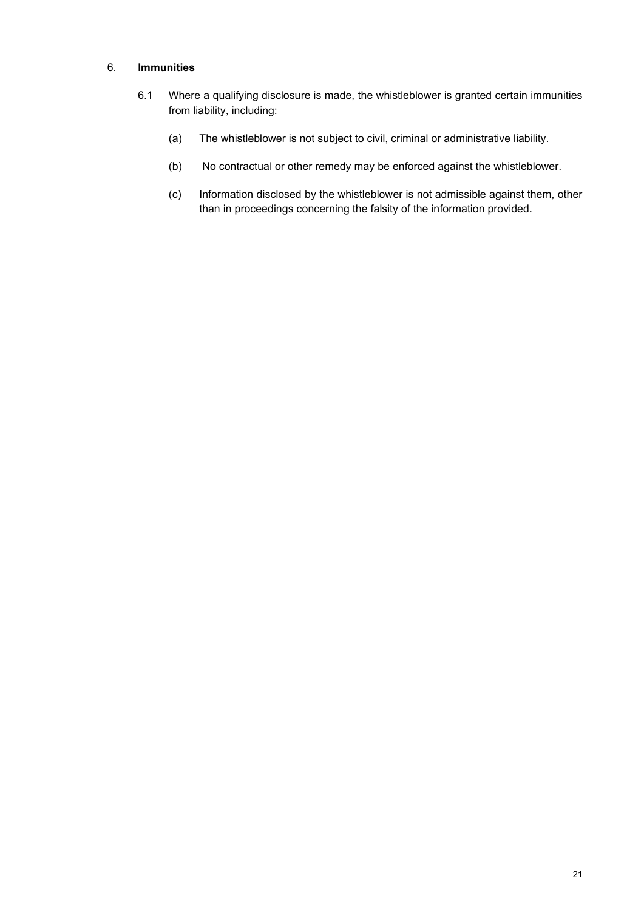#### 6. **Immunities**

- 6.1 Where a qualifying disclosure is made, the whistleblower is granted certain immunities from liability, including:
	- (a) The whistleblower is not subject to civil, criminal or administrative liability.
	- (b) No contractual or other remedy may be enforced against the whistleblower.
	- (c) Information disclosed by the whistleblower is not admissible against them, other than in proceedings concerning the falsity of the information provided.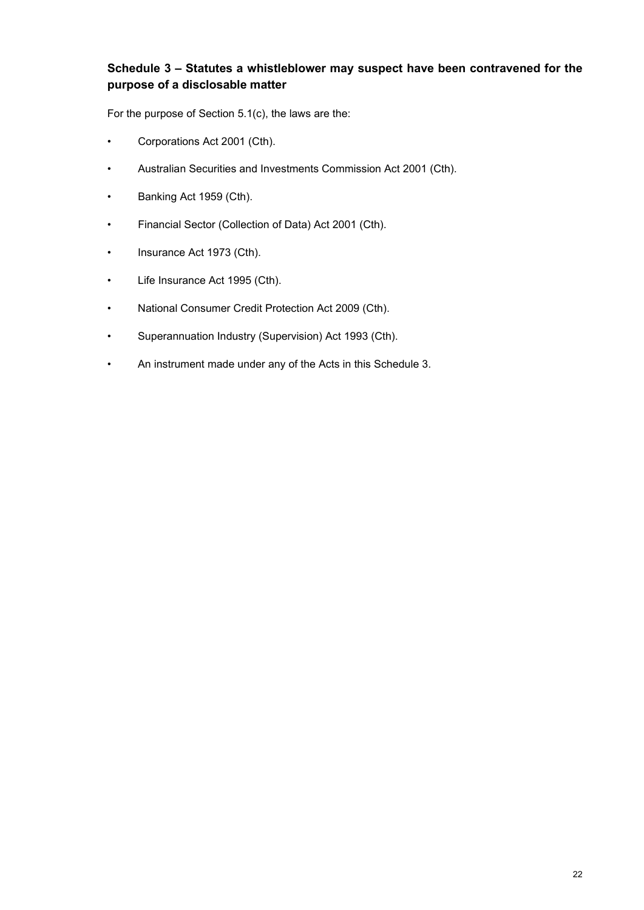## **Schedule 3 – Statutes a whistleblower may suspect have been contravened for the purpose of a disclosable matter**

For the purpose of Section [5.1\(c\),](#page-2-3) the laws are the:

- Corporations Act 2001 (Cth).
- Australian Securities and Investments Commission Act 2001 (Cth).
- Banking Act 1959 (Cth).
- Financial Sector (Collection of Data) Act 2001 (Cth).
- Insurance Act 1973 (Cth).
- Life Insurance Act 1995 (Cth).
- National Consumer Credit Protection Act 2009 (Cth).
- Superannuation Industry (Supervision) Act 1993 (Cth).
- An instrument made under any of the Acts in this Schedule 3.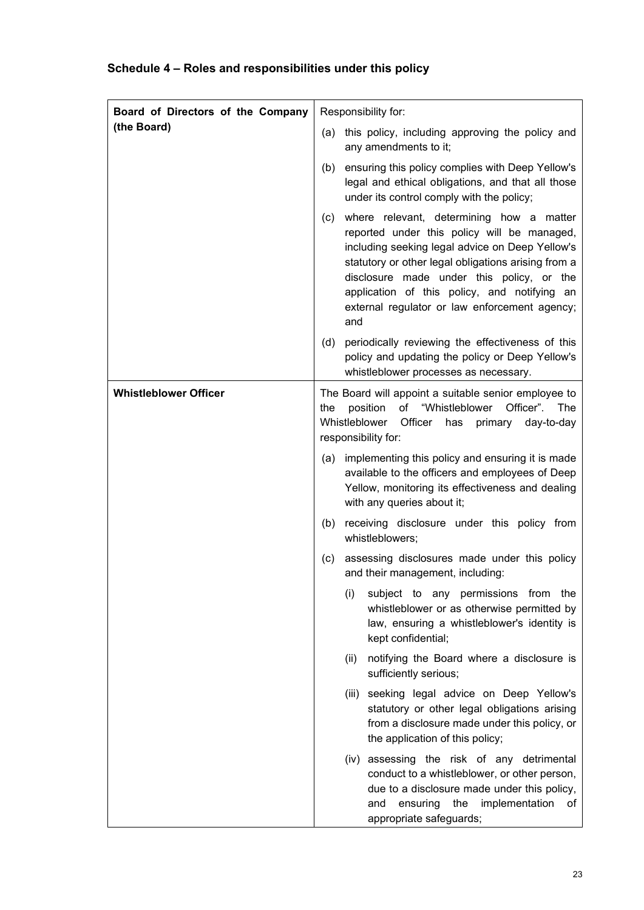# **Schedule 4 – Roles and responsibilities under this policy**

| Board of Directors of the Company | Responsibility for:                                                                                                                                                                                                                                                                                                                                           |  |
|-----------------------------------|---------------------------------------------------------------------------------------------------------------------------------------------------------------------------------------------------------------------------------------------------------------------------------------------------------------------------------------------------------------|--|
| (the Board)                       | this policy, including approving the policy and<br>(a)<br>any amendments to it;                                                                                                                                                                                                                                                                               |  |
|                                   | ensuring this policy complies with Deep Yellow's<br>(b)<br>legal and ethical obligations, and that all those<br>under its control comply with the policy;                                                                                                                                                                                                     |  |
|                                   | where relevant, determining how a matter<br>(c)<br>reported under this policy will be managed,<br>including seeking legal advice on Deep Yellow's<br>statutory or other legal obligations arising from a<br>disclosure made under this policy, or the<br>application of this policy, and notifying an<br>external regulator or law enforcement agency;<br>and |  |
|                                   | periodically reviewing the effectiveness of this<br>(d)<br>policy and updating the policy or Deep Yellow's<br>whistleblower processes as necessary.                                                                                                                                                                                                           |  |
| <b>Whistleblower Officer</b>      | The Board will appoint a suitable senior employee to<br>of "Whistleblower Officer". The<br>position<br>the<br>Whistleblower<br>Officer<br>primary day-to-day<br>has<br>responsibility for:                                                                                                                                                                    |  |
|                                   | implementing this policy and ensuring it is made<br>(a)<br>available to the officers and employees of Deep<br>Yellow, monitoring its effectiveness and dealing<br>with any queries about it;                                                                                                                                                                  |  |
|                                   | receiving disclosure under this policy from<br>(b)<br>whistleblowers;                                                                                                                                                                                                                                                                                         |  |
|                                   | assessing disclosures made under this policy<br>(c)<br>and their management, including:                                                                                                                                                                                                                                                                       |  |
|                                   | (i)<br>subject to any permissions from the<br>whistleblower or as otherwise permitted by<br>law, ensuring a whistleblower's identity is<br>kept confidential;                                                                                                                                                                                                 |  |
|                                   | notifying the Board where a disclosure is<br>(ii)<br>sufficiently serious;                                                                                                                                                                                                                                                                                    |  |
|                                   | (iii) seeking legal advice on Deep Yellow's<br>statutory or other legal obligations arising<br>from a disclosure made under this policy, or<br>the application of this policy;                                                                                                                                                                                |  |
|                                   | (iv) assessing the risk of any detrimental<br>conduct to a whistleblower, or other person,<br>due to a disclosure made under this policy,<br>and ensuring the<br>implementation<br>of<br>appropriate safeguards;                                                                                                                                              |  |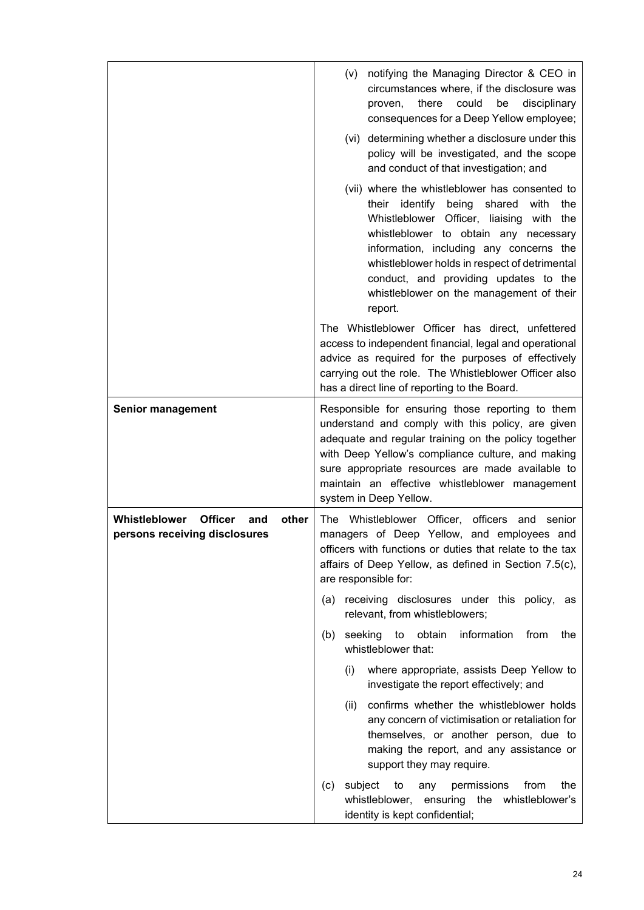|                                                                                  | (v) notifying the Managing Director & CEO in<br>circumstances where, if the disclosure was<br>could<br>proven,<br>there<br>be<br>disciplinary<br>consequences for a Deep Yellow employee;<br>(vi) determining whether a disclosure under this<br>policy will be investigated, and the scope<br>and conduct of that investigation; and<br>(vii) where the whistleblower has consented to<br>their identify being<br>shared<br>with<br>the<br>Whistleblower Officer, liaising with the<br>whistleblower to obtain any necessary<br>information, including any concerns the |  |
|----------------------------------------------------------------------------------|--------------------------------------------------------------------------------------------------------------------------------------------------------------------------------------------------------------------------------------------------------------------------------------------------------------------------------------------------------------------------------------------------------------------------------------------------------------------------------------------------------------------------------------------------------------------------|--|
|                                                                                  | whistleblower holds in respect of detrimental<br>conduct, and providing updates to the<br>whistleblower on the management of their<br>report.                                                                                                                                                                                                                                                                                                                                                                                                                            |  |
|                                                                                  | The Whistleblower Officer has direct, unfettered<br>access to independent financial, legal and operational<br>advice as required for the purposes of effectively<br>carrying out the role. The Whistleblower Officer also<br>has a direct line of reporting to the Board.                                                                                                                                                                                                                                                                                                |  |
| <b>Senior management</b>                                                         | Responsible for ensuring those reporting to them<br>understand and comply with this policy, are given<br>adequate and regular training on the policy together<br>with Deep Yellow's compliance culture, and making<br>sure appropriate resources are made available to<br>maintain an effective whistleblower management<br>system in Deep Yellow.                                                                                                                                                                                                                       |  |
| Whistleblower<br><b>Officer</b><br>other<br>and<br>persons receiving disclosures | The Whistleblower Officer, officers and senior<br>managers of Deep Yellow, and employees and<br>officers with functions or duties that relate to the tax<br>affairs of Deep Yellow, as defined in Section 7.5(c),<br>are responsible for:                                                                                                                                                                                                                                                                                                                                |  |
|                                                                                  | receiving disclosures under this policy, as<br>(a)<br>relevant, from whistleblowers;                                                                                                                                                                                                                                                                                                                                                                                                                                                                                     |  |
|                                                                                  | obtain<br>seeking<br>to<br>information<br>from<br>(b)<br>the<br>whistleblower that:                                                                                                                                                                                                                                                                                                                                                                                                                                                                                      |  |
|                                                                                  | (i)<br>where appropriate, assists Deep Yellow to<br>investigate the report effectively; and                                                                                                                                                                                                                                                                                                                                                                                                                                                                              |  |
|                                                                                  | confirms whether the whistleblower holds<br>(ii)<br>any concern of victimisation or retaliation for<br>themselves, or another person, due to<br>making the report, and any assistance or<br>support they may require.                                                                                                                                                                                                                                                                                                                                                    |  |
|                                                                                  | subject<br>permissions<br>from<br>the<br>(c)<br>to<br>any<br>whistleblower, ensuring the whistleblower's<br>identity is kept confidential;                                                                                                                                                                                                                                                                                                                                                                                                                               |  |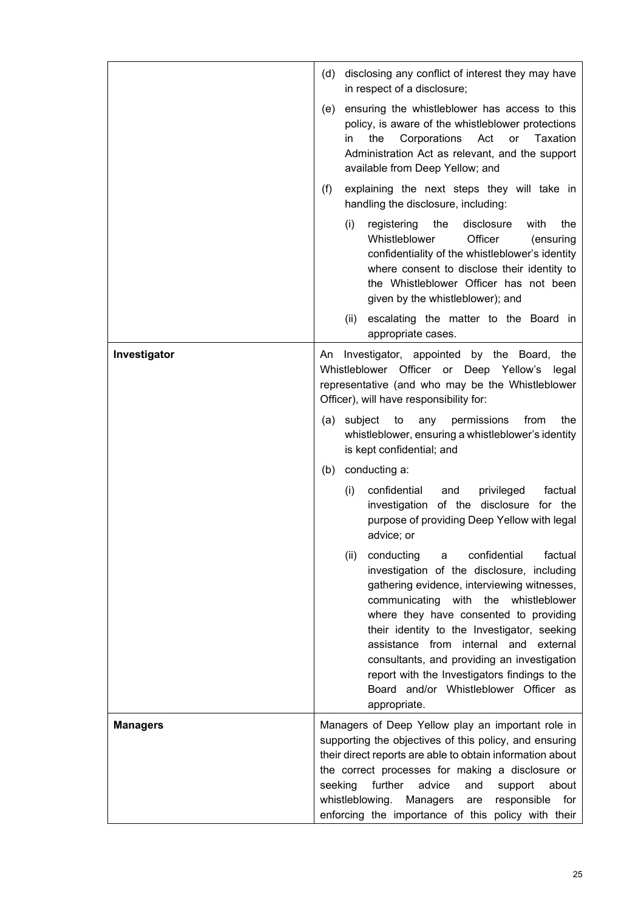|                 | (d)                                                       | disclosing any conflict of interest they may have<br>in respect of a disclosure;                                                                                                                                                                                                                                                                                                                                                                                                         |  |
|-----------------|-----------------------------------------------------------|------------------------------------------------------------------------------------------------------------------------------------------------------------------------------------------------------------------------------------------------------------------------------------------------------------------------------------------------------------------------------------------------------------------------------------------------------------------------------------------|--|
|                 |                                                           | (e) ensuring the whistleblower has access to this<br>policy, is aware of the whistleblower protections<br>the<br>Corporations<br>Act<br><b>or</b><br>Taxation<br>in<br>Administration Act as relevant, and the support<br>available from Deep Yellow; and                                                                                                                                                                                                                                |  |
|                 | (f)                                                       | explaining the next steps they will take in<br>handling the disclosure, including:                                                                                                                                                                                                                                                                                                                                                                                                       |  |
|                 |                                                           | the<br>disclosure<br>the<br>(i)<br>registering<br>with<br>Whistleblower<br>Officer<br>(ensuring<br>confidentiality of the whistleblower's identity<br>where consent to disclose their identity to<br>the Whistleblower Officer has not been<br>given by the whistleblower); and                                                                                                                                                                                                          |  |
|                 |                                                           | escalating the matter to the Board in<br>(ii)<br>appropriate cases.                                                                                                                                                                                                                                                                                                                                                                                                                      |  |
| Investigator    | An                                                        | Investigator, appointed by the Board, the<br>Whistleblower Officer or Deep Yellow's legal<br>representative (and who may be the Whistleblower<br>Officer), will have responsibility for:                                                                                                                                                                                                                                                                                                 |  |
|                 |                                                           | permissions<br>(a) subject<br>to<br>any<br>from<br>the<br>whistleblower, ensuring a whistleblower's identity<br>is kept confidential; and                                                                                                                                                                                                                                                                                                                                                |  |
|                 | (b)                                                       | conducting a:                                                                                                                                                                                                                                                                                                                                                                                                                                                                            |  |
|                 |                                                           | (i)<br>confidential<br>privileged<br>factual<br>and<br>investigation of the disclosure for the<br>purpose of providing Deep Yellow with legal<br>advice; or                                                                                                                                                                                                                                                                                                                              |  |
|                 |                                                           | (ii)<br>conducting<br>confidential<br>factual<br>a<br>investigation of the disclosure, including<br>gathering evidence, interviewing witnesses,<br>communicating<br>with the<br>whistleblower<br>where they have consented to providing<br>their identity to the Investigator, seeking<br>assistance from internal and external<br>consultants, and providing an investigation<br>report with the Investigators findings to the<br>Board and/or Whistleblower Officer as<br>appropriate. |  |
| <b>Managers</b> |                                                           | Managers of Deep Yellow play an important role in<br>supporting the objectives of this policy, and ensuring                                                                                                                                                                                                                                                                                                                                                                              |  |
|                 | their direct reports are able to obtain information about |                                                                                                                                                                                                                                                                                                                                                                                                                                                                                          |  |
|                 |                                                           | the correct processes for making a disclosure or<br>seeking<br>further<br>advice<br>about<br>and<br>support                                                                                                                                                                                                                                                                                                                                                                              |  |
|                 |                                                           | whistleblowing.<br>responsible<br>Managers<br>for<br>are<br>enforcing the importance of this policy with their                                                                                                                                                                                                                                                                                                                                                                           |  |
|                 |                                                           |                                                                                                                                                                                                                                                                                                                                                                                                                                                                                          |  |